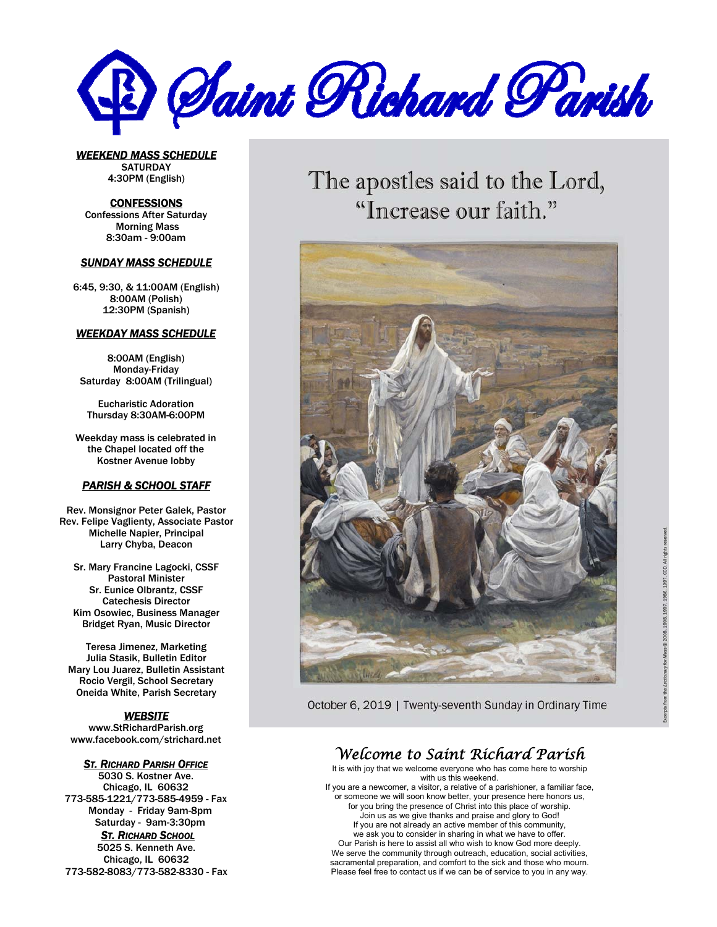

*WEEKEND MASS SCHEDULE*  **SATURDAY** 4:30PM (English)

**CONFESSIONS** Confessions After Saturday Morning Mass 8:30am - 9:00am

#### *SUNDAY MASS SCHEDULE*

6:45, 9:30, & 11:00AM (English) 8:00AM (Polish) 12:30PM (Spanish)

#### *WEEKDAY MASS SCHEDULE*

8:00AM (English) Monday-Friday Saturday 8:00AM (Trilingual)

Eucharistic Adoration Thursday 8:30AM-6:00PM

Weekday mass is celebrated in the Chapel located off the Kostner Avenue lobby

#### *PARISH & SCHOOL STAFF*

Rev. Monsignor Peter Galek, Pastor Rev. Felipe Vaglienty, Associate Pastor Michelle Napier, Principal Larry Chyba, Deacon

Sr. Mary Francine Lagocki, CSSF Pastoral Minister Sr. Eunice Olbrantz, CSSF Catechesis Director Kim Osowiec, Business Manager Bridget Ryan, Music Director

Teresa Jimenez, Marketing Julia Stasik, Bulletin Editor Mary Lou Juarez, Bulletin Assistant Rocio Vergil, School Secretary Oneida White, Parish Secretary

#### *WEBSITE*

www.StRichardParish.org www.facebook.com/strichard.net

#### *ST. RICHARD PARISH OFFICE*

5030 S. Kostner Ave. Chicago, IL 60632 773-585-1221/773-585-4959 - Fax Monday - Friday 9am-8pm Saturday - 9am-3:30pm *ST. RICHARD SCHOOL* 

5025 S. Kenneth Ave. Chicago, IL 60632 773-582-8083/773-582-8330 - Fax The apostles said to the Lord, "Increase our faith."



October 6, 2019 | Twenty-seventh Sunday in Ordinary Time

## *Welcome to Saint Richard Parish*

It is with joy that we welcome everyone who has come here to worship with us this weekend. If you are a newcomer, a visitor, a relative of a parishioner, a familiar face, or someone we will soon know better, your presence here honors us, for you bring the presence of Christ into this place of worship. Join us as we give thanks and praise and glory to God! If you are not already an active member of this community, we ask you to consider in sharing in what we have to offer. Our Parish is here to assist all who wish to know God more deeply. We serve the community through outreach, education, social activities, sacramental preparation, and comfort to the sick and those who mourn.

Please feel free to contact us if we can be of service to you in any way.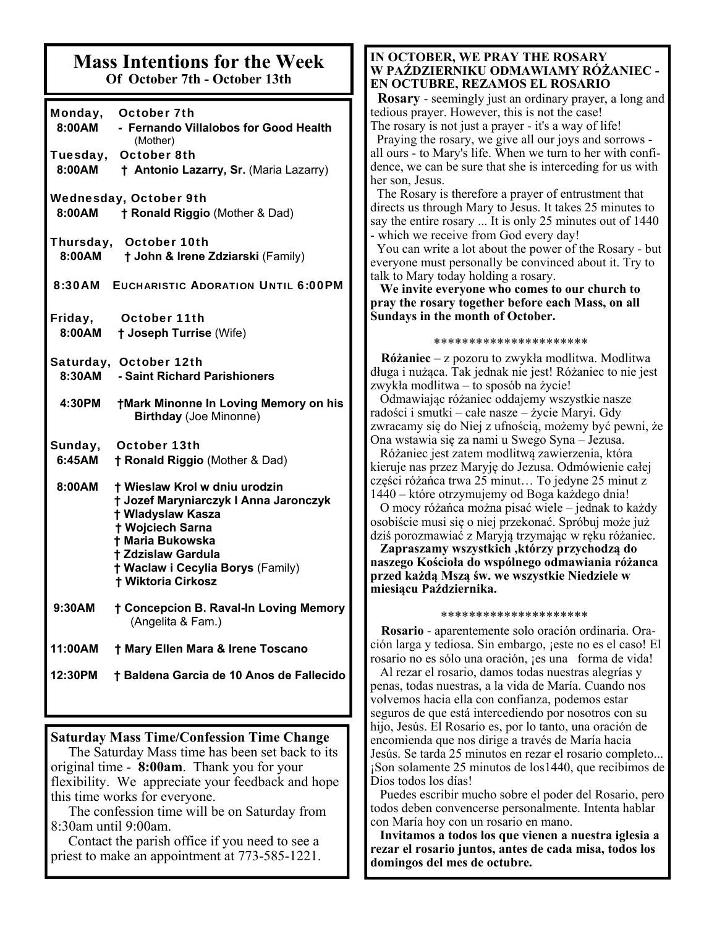#### **Mass Intentions for the Week Of October 7th - October 13th**

| Monday,<br>8:00AM<br>Tuesday,<br>8:00AM | October 7th<br>- Fernando Villalobos for Good Health<br>(Mother)<br><b>October 8th</b><br>† Antonio Lazarry, Sr. (Maria Lazarry)                                                                                                                        |
|-----------------------------------------|---------------------------------------------------------------------------------------------------------------------------------------------------------------------------------------------------------------------------------------------------------|
| 8:00AM                                  | <b>Wednesday, October 9th</b><br><b>† Ronald Riggio (Mother &amp; Dad)</b>                                                                                                                                                                              |
| 8:00AM                                  | Thursday, October 10th<br>† John & Irene Zdziarski (Family)                                                                                                                                                                                             |
| 8:30AM                                  | <b>EUCHARISTIC ADORATION UNTIL 6:00PM</b>                                                                                                                                                                                                               |
| Friday,<br>8:00AM                       | October 11th<br><b>† Joseph Turrise (Wife)</b>                                                                                                                                                                                                          |
| 8:30AM                                  | Saturday, October 12th<br>- Saint Richard Parishioners                                                                                                                                                                                                  |
| 4:30PM                                  | <b>†Mark Minonne In Loving Memory on his</b><br><b>Birthday (Joe Minonne)</b>                                                                                                                                                                           |
| Sunday,<br>6:45AM                       | October 13th<br><b>† Ronald Riggio (Mother &amp; Dad)</b>                                                                                                                                                                                               |
| 8:00AM                                  | <b>† Wieslaw Krol w dniu urodzin</b><br>† Jozef Maryniarczyk I Anna Jaronczyk<br>† Wladyslaw Kasza<br><b>† Wojciech Sarna</b><br><b>+ Maria Bukowska</b><br><b>† Zdzislaw Gardula</b><br>† Waclaw i Cecylia Borys (Family)<br><b>† Wiktoria Cirkosz</b> |
| 9:30AM                                  | † Concepcion B. Raval-In Loving Memory<br>(Angelita & Fam.)                                                                                                                                                                                             |
| 11:00AM                                 | † Mary Ellen Mara & Irene Toscano                                                                                                                                                                                                                       |
| 12:30PM                                 | † Baldena Garcia de 10 Anos de Fallecido                                                                                                                                                                                                                |

#### **Saturday Mass Time/Confession Time Change**

 The Saturday Mass time has been set back to its original time - **8:00am**. Thank you for your flexibility. We appreciate your feedback and hope this time works for everyone.

 The confession time will be on Saturday from 8:30am until 9:00am.

 Contact the parish office if you need to see a priest to make an appointment at 773-585-1221.

#### **IN OCTOBER, WE PRAY THE ROSARY W PAŹDZIERNIKU ODMAWIAMY RÓŻANIEC - EN OCTUBRE, REZAMOS EL ROSARIO**

 **Rosary** - seemingly just an ordinary prayer, a long and tedious prayer. However, this is not the case! The rosary is not just a prayer - it's a way of life! Praying the rosary, we give all our joys and sorrows all ours - to Mary's life. When we turn to her with confidence, we can be sure that she is interceding for us with her son, Jesus.

 The Rosary is therefore a prayer of entrustment that directs us through Mary to Jesus. It takes 25 minutes to say the entire rosary ... It is only 25 minutes out of 1440 - which we receive from God every day!

 You can write a lot about the power of the Rosary - but everyone must personally be convinced about it. Try to talk to Mary today holding a rosary.

 **We invite everyone who comes to our church to pray the rosary together before each Mass, on all Sundays in the month of October.** 

\*\*\*\*\*\*\*\*\*\*\*\*\*\*\*\*\*\*\*\*\*\*

 **Różaniec** – z pozoru to zwykła modlitwa. Modlitwa długa i nużąca. Tak jednak nie jest! Różaniec to nie jest zwykła modlitwa – to sposób na życie!

 Odmawiając różaniec oddajemy wszystkie nasze radości i smutki – całe nasze – życie Maryi. Gdy zwracamy się do Niej z ufnością, możemy być pewni, że Ona wstawia się za nami u Swego Syna – Jezusa.

 Różaniec jest zatem modlitwą zawierzenia, która kieruje nas przez Maryję do Jezusa. Odmówienie całej części różańca trwa 25 minut… To jedyne 25 minut z 1440 – które otrzymujemy od Boga każdego dnia!

 O mocy różańca można pisać wiele – jednak to każdy osobiście musi się o niej przekonać. Spróbuj może już dziś porozmawiać z Maryją trzymając w ręku różaniec.

 **Zapraszamy wszystkich ,którzy przychodzą do naszego Kościoła do wspólnego odmawiania różanca przed każdą Mszą św. we wszystkie Niedziele w miesiącu Października.** 

#### \*\*\*\*\*\*\*\*\*\*\*\*\*\*\*\*\*\*\*\*\*

 **Rosario** - aparentemente solo oración ordinaria. Oración larga y tediosa. Sin embargo, ¡este no es el caso! El rosario no es sólo una oración, ¡es una forma de vida!

 Al rezar el rosario, damos todas nuestras alegrías y penas, todas nuestras, a la vida de María. Cuando nos volvemos hacia ella con confianza, podemos estar seguros de que está intercediendo por nosotros con su hijo, Jesús. El Rosario es, por lo tanto, una oración de encomienda que nos dirige a través de María hacia Jesús. Se tarda 25 minutos en rezar el rosario completo... ¡Son solamente 25 minutos de los1440, que recibimos de Dios todos los días!

 Puedes escribir mucho sobre el poder del Rosario, pero todos deben convencerse personalmente. Intenta hablar con María hoy con un rosario en mano.

 **Invitamos a todos los que vienen a nuestra iglesia a rezar el rosario juntos, antes de cada misa, todos los domingos del mes de octubre.**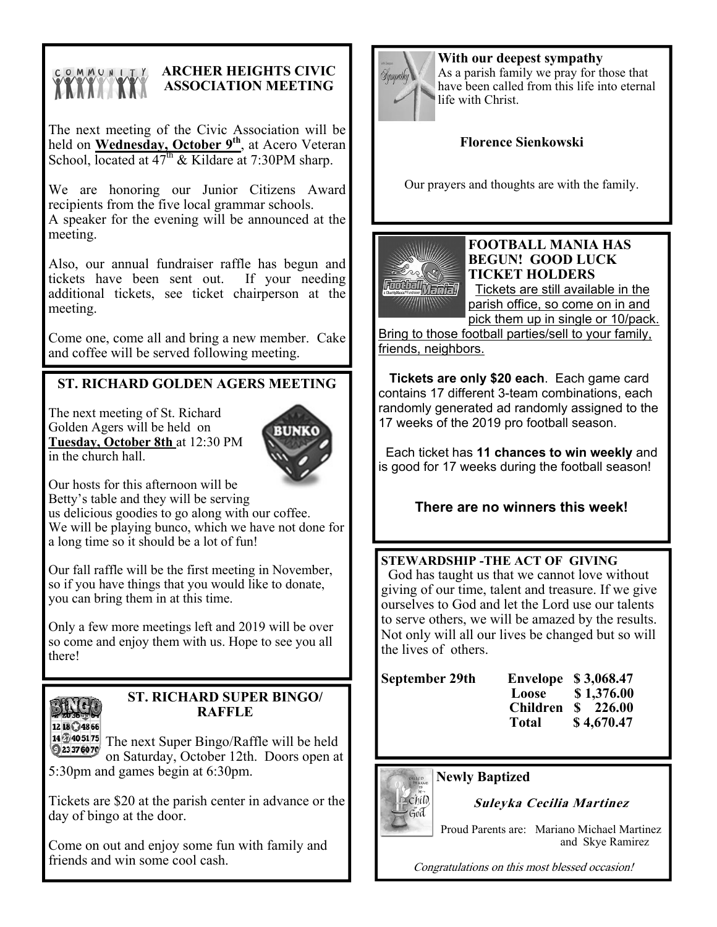# COMMUNITY

# **ARCHER HEIGHTS CIVIC ASSOCIATION MEETING**

The next meeting of the Civic Association will be held on **Wednesday**, October 9<sup>th</sup>, at Acero Veteran School, located at  $47<sup>th</sup>$  & Kildare at 7:30PM sharp.

We are honoring our Junior Citizens Award recipients from the five local grammar schools. A speaker for the evening will be announced at the meeting.

Also, our annual fundraiser raffle has begun and tickets have been sent out. If your needing additional tickets, see ticket chairperson at the meeting.

Come one, come all and bring a new member. Cake and coffee will be served following meeting.

# **ST. RICHARD GOLDEN AGERS MEETING**

The next meeting of St. Richard Golden Agers will be held on **Tuesday, October 8th** at 12:30 PM in the church hall.



Our hosts for this afternoon will be

Betty's table and they will be serving us delicious goodies to go along with our coffee. We will be playing bunco, which we have not done for

a long time so it should be a lot of fun!

Our fall raffle will be the first meeting in November, so if you have things that you would like to donate, you can bring them in at this time.

Only a few more meetings left and 2019 will be over so come and enjoy them with us. Hope to see you all there!



### **ST. RICHARD SUPER BINGO/ RAFFLE**

14  $\frac{1}{240}$  5175 The next Super Bingo/Raffle will be held 23376070 on Saturday, October 12th. Doors open at 5:30pm and games begin at 6:30pm.

Tickets are \$20 at the parish center in advance or the day of bingo at the door.

Come on out and enjoy some fun with family and friends and win some cool cash.



**With our deepest sympathy**  As a parish family we pray for those that have been called from this life into eternal life with Christ.

## **Florence Sienkowski**

Our prayers and thoughts are with the family.



#### **FOOTBALL MANIA HAS BEGUN! GOOD LUCK TICKET HOLDERS**

Tickets are still available in the parish office, so come on in and pick them up in single or 10/pack.

Bring to those football parties/sell to your family, friends, neighbors.

 **Tickets are only \$20 each**. Each game card contains 17 different 3-team combinations, each randomly generated ad randomly assigned to the 17 weeks of the 2019 pro football season.

 Each ticket has **11 chances to win weekly** and is good for 17 weeks during the football season!

## **There are no winners this week!**

**STEWARDSHIP -THE ACT OF GIVING**  God has taught us that we cannot love without giving of our time, talent and treasure. If we give ourselves to God and let the Lord use our talents to serve others, we will be amazed by the results. Not only will all our lives be changed but so will the lives of others.

| September 29th |                 | <b>Envelope</b> \$3,068.47         |
|----------------|-----------------|------------------------------------|
|                |                 | Loose \$1,376.00                   |
|                | <b>Children</b> | $\frac{\text{S}}{\text{S}}$ 226.00 |
|                | Total           | \$4,670.47                         |

**Newly Baptized** 



**Suleyka Cecilia Martinez** 

Proud Parents are: Mariano Michael Martinez and Skye Ramirez

Congratulations on this most blessed occasion!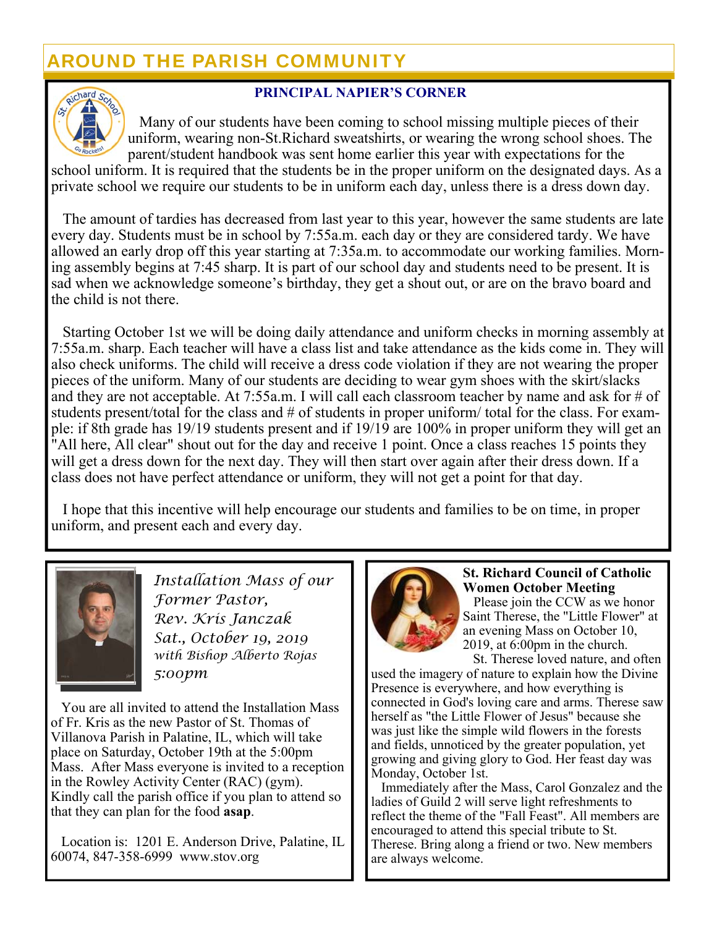# AROUND THE PARISH COMMUNITY



### **PRINCIPAL NAPIER'S CORNER**

 Many of our students have been coming to school missing multiple pieces of their uniform, wearing non-St.Richard sweatshirts, or wearing the wrong school shoes. The parent/student handbook was sent home earlier this year with expectations for the

school uniform. It is required that the students be in the proper uniform on the designated days. As a private school we require our students to be in uniform each day, unless there is a dress down day.

 The amount of tardies has decreased from last year to this year, however the same students are late every day. Students must be in school by 7:55a.m. each day or they are considered tardy. We have allowed an early drop off this year starting at 7:35a.m. to accommodate our working families. Morning assembly begins at 7:45 sharp. It is part of our school day and students need to be present. It is sad when we acknowledge someone's birthday, they get a shout out, or are on the bravo board and the child is not there.

 Starting October 1st we will be doing daily attendance and uniform checks in morning assembly at 7:55a.m. sharp. Each teacher will have a class list and take attendance as the kids come in. They will also check uniforms. The child will receive a dress code violation if they are not wearing the proper pieces of the uniform. Many of our students are deciding to wear gym shoes with the skirt/slacks and they are not acceptable. At 7:55a.m. I will call each classroom teacher by name and ask for # of students present/total for the class and # of students in proper uniform/ total for the class. For example: if 8th grade has 19/19 students present and if 19/19 are 100% in proper uniform they will get an "All here, All clear" shout out for the day and receive 1 point. Once a class reaches 15 points they will get a dress down for the next day. They will then start over again after their dress down. If a class does not have perfect attendance or uniform, they will not get a point for that day.

 I hope that this incentive will help encourage our students and families to be on time, in proper uniform, and present each and every day.



*Installation Mass of our Former Pastor, Rev. Kris Janczak Sat., October 19, 2019 with Bishop Alberto Rojas 5:00pm* 

 You are all invited to attend the Installation Mass of Fr. Kris as the new Pastor of St. Thomas of Villanova Parish in Palatine, IL, which will take place on Saturday, October 19th at the 5:00pm Mass. After Mass everyone is invited to a reception in the Rowley Activity Center (RAC) (gym). Kindly call the parish office if you plan to attend so that they can plan for the food **asap**.

 Location is: 1201 E. Anderson Drive, Palatine, IL 60074, 847-358-6999 www.stov.org



### **St. Richard Council of Catholic Women October Meeting**

 Please join the CCW as we honor Saint Therese, the "Little Flower" at an evening Mass on October 10, 2019, at 6:00pm in the church.

 St. Therese loved nature, and often used the imagery of nature to explain how the Divine Presence is everywhere, and how everything is connected in God's loving care and arms. Therese saw herself as "the Little Flower of Jesus" because she was just like the simple wild flowers in the forests and fields, unnoticed by the greater population, yet growing and giving glory to God. Her feast day was Monday, October 1st.

 Immediately after the Mass, Carol Gonzalez and the ladies of Guild 2 will serve light refreshments to reflect the theme of the "Fall Feast". All members are encouraged to attend this special tribute to St. Therese. Bring along a friend or two. New members are always welcome.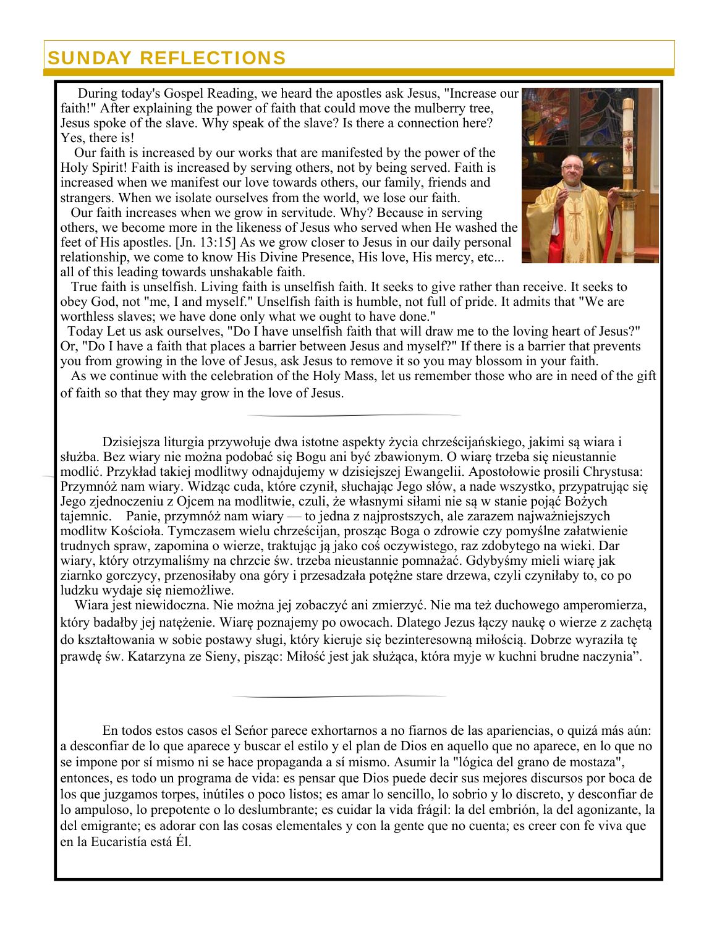# SUNDAY REFLECTIONS

 During today's Gospel Reading, we heard the apostles ask Jesus, "Increase our faith!" After explaining the power of faith that could move the mulberry tree, Jesus spoke of the slave. Why speak of the slave? Is there a connection here? Yes, there is!

 Our faith is increased by our works that are manifested by the power of the Holy Spirit! Faith is increased by serving others, not by being served. Faith is increased when we manifest our love towards others, our family, friends and strangers. When we isolate ourselves from the world, we lose our faith.

 Our faith increases when we grow in servitude. Why? Because in serving others, we become more in the likeness of Jesus who served when He washed the feet of His apostles. [Jn. 13:15] As we grow closer to Jesus in our daily personal relationship, we come to know His Divine Presence, His love, His mercy, etc... all of this leading towards unshakable faith.

 True faith is unselfish. Living faith is unselfish faith. It seeks to give rather than receive. It seeks to obey God, not "me, I and myself." Unselfish faith is humble, not full of pride. It admits that "We are worthless slaves; we have done only what we ought to have done."

 Today Let us ask ourselves, "Do I have unselfish faith that will draw me to the loving heart of Jesus?" Or, "Do I have a faith that places a barrier between Jesus and myself?" If there is a barrier that prevents you from growing in the love of Jesus, ask Jesus to remove it so you may blossom in your faith.

 As we continue with the celebration of the Holy Mass, let us remember those who are in need of the gift of faith so that they may grow in the love of Jesus.

Dzisiejsza liturgia przywołuje dwa istotne aspekty życia chrześcijańskiego, jakimi są wiara i służba. Bez wiary nie można podobać się Bogu ani być zbawionym. O wiarę trzeba się nieustannie modlić. Przykład takiej modlitwy odnajdujemy w dzisiejszej Ewangelii. Apostołowie prosili Chrystusa: Przymnóż nam wiary. Widząc cuda, które czynił, słuchając Jego słów, a nade wszystko, przypatrując się Jego zjednoczeniu z Ojcem na modlitwie, czuli, że własnymi siłami nie są w stanie pojąć Bożych tajemnic. Panie, przymnóż nam wiary — to jedna z najprostszych, ale zarazem najważniejszych modlitw Kościoła. Tymczasem wielu chrześcijan, prosząc Boga o zdrowie czy pomyślne załatwienie trudnych spraw, zapomina o wierze, traktując ją jako coś oczywistego, raz zdobytego na wieki. Dar wiary, który otrzymaliśmy na chrzcie św. trzeba nieustannie pomnażać. Gdybyśmy mieli wiarę jak ziarnko gorczycy, przenosiłaby ona góry i przesadzała potężne stare drzewa, czyli czyniłaby to, co po ludzku wydaje się niemożliwe.

 Wiara jest niewidoczna. Nie można jej zobaczyć ani zmierzyć. Nie ma też duchowego amperomierza, który badałby jej natężenie. Wiarę poznajemy po owocach. Dlatego Jezus łączy naukę o wierze z zachętą do kształtowania w sobie postawy sługi, który kieruje się bezinteresowną miłością. Dobrze wyraziła tę prawdę św. Katarzyna ze Sieny, pisząc: Miłość jest jak służąca, która myje w kuchni brudne naczynia".

 En todos estos casos el Seńor parece exhortarnos a no fiarnos de las apariencias, o quizá más aún: a desconfiar de lo que aparece y buscar el estilo y el plan de Dios en aquello que no aparece, en lo que no se impone por sí mismo ni se hace propaganda a sí mismo. Asumir la "lógica del grano de mostaza", entonces, es todo un programa de vida: es pensar que Dios puede decir sus mejores discursos por boca de los que juzgamos torpes, inútiles o poco listos; es amar lo sencillo, lo sobrio y lo discreto, y desconfiar de lo ampuloso, lo prepotente o lo deslumbrante; es cuidar la vida frágil: la del embrión, la del agonizante, la del emigrante; es adorar con las cosas elementales y con la gente que no cuenta; es creer con fe viva que en la Eucaristía está Él.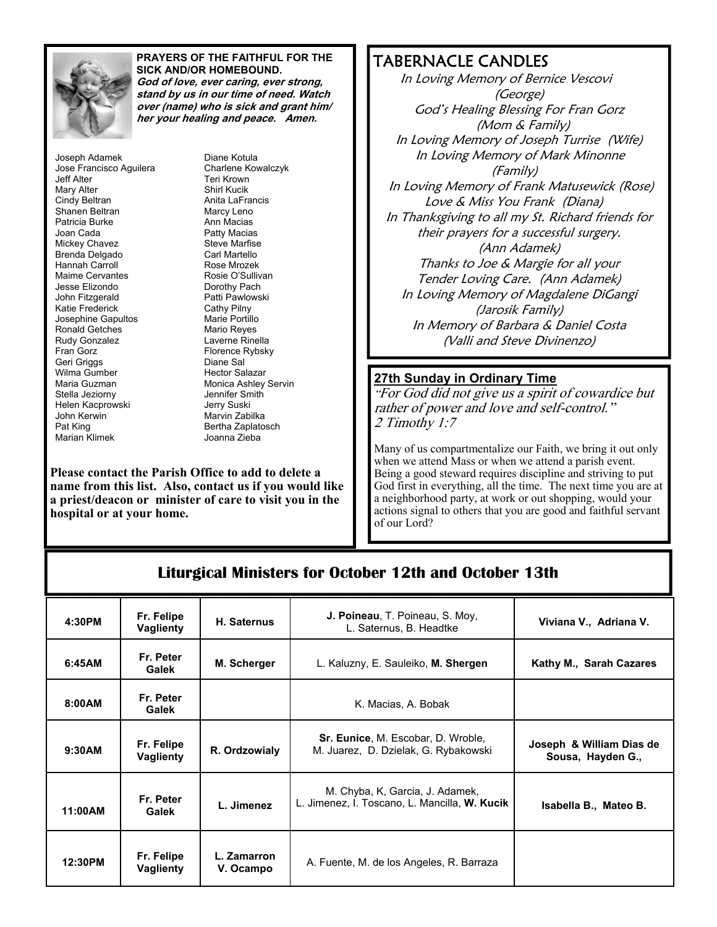

#### **PRAYERS OF THE FAITHFUL FOR THE SICK AND/OR HOMEBOUND. God of love, ever caring, ever strong,**

**stand by us in our time of need. Watch over (name) who is sick and grant him/ her your healing and peace. Amen.**

Joseph Adamek Jose Francisco Aguilera Jeff Alter Mary Alter Cindy Beltran Shanen Beltran Patricia Burke Joan Cada Mickey Chavez Brenda Delgado Hannah Carroll Maime Cervantes Jesse Elizondo John Fitzgerald Katie Frederick Josephine Gapultos Ronald Getches Rudy Gonzalez Fran Gorz Geri Griggs Wilma Gumber Maria Guzman Stella Jeziorny Helen Kacprowski John Kerwin Pat King Marian Klimek

Diane Kotula Charlene Kowalczyk Teri Krown Shirl Kucik Anita LaFrancis Marcy Leno Ann Macias Patty Macias Steve Marfise Carl Martello Rose Mrozek Rosie O'Sullivan Dorothy Pach Patti Pawlowski Cathy Pilny Marie Portillo Mario Reyes Laverne Rinella Florence Rybsky Diane Sal Hector Salazar Monica Ashley Servin Jennifer Smith Jerry Suski Marvin Zabilka Bertha Zaplatosch Joanna Zieba

**Please contact the Parish Office to add to delete a name from this list. Also, contact us if you would like a priest/deacon or minister of care to visit you in the hospital or at your home.** 

# TABERNACLE CANDLES

 In Loving Memory of Bernice Vescovi (George) God's Healing Blessing For Fran Gorz (Mom & Family) In Loving Memory of Joseph Turrise (Wife) In Loving Memory of Mark Minonne (Family) In Loving Memory of Frank Matusewick (Rose) Love & Miss You Frank (Diana) In Thanksgiving to all my St. Richard friends for their prayers for a successful surgery. (Ann Adamek) Thanks to Joe & Margie for all your Tender Loving Care. (Ann Adamek) In Loving Memory of Magdalene DiGangi (Jarosik Family) In Memory of Barbara & Daniel Costa (Valli and Steve Divinenzo)

#### **27th Sunday in Ordinary Time**

"For God did not give us a spirit of cowardice but rather of power and love and self-control." 2 Timothy 1:7

Many of us compartmentalize our Faith, we bring it out only when we attend Mass or when we attend a parish event. Being a good steward requires discipline and striving to put God first in everything, all the time. The next time you are at a neighborhood party, at work or out shopping, would your actions signal to others that you are good and faithful servant of our Lord?

# **Liturgical Ministers for October 12th and October 13th**

| 4:30PM  | Fr. Felipe<br><b>Vaglienty</b> | H. Saternus              | J. Poineau, T. Poineau, S. Moy,<br>L. Saternus, B. Headtke                        | Viviana V., Adriana V.                        |
|---------|--------------------------------|--------------------------|-----------------------------------------------------------------------------------|-----------------------------------------------|
| 6:45AM  | Fr. Peter<br>Galek             | M. Scherger              | L. Kaluzny, E. Sauleiko, M. Shergen                                               | Kathy M., Sarah Cazares                       |
| 8:00AM  | Fr. Peter<br>Galek             |                          | K. Macias, A. Bobak                                                               |                                               |
| 9:30AM  | Fr. Felipe<br>Vaglienty        | R. Ordzowialy            | <b>Sr. Eunice, M. Escobar, D. Wroble,</b><br>M. Juarez, D. Dzielak, G. Rybakowski | Joseph & William Dias de<br>Sousa, Hayden G., |
| 11:00AM | Fr. Peter<br>Galek             | L. Jimenez               | M. Chyba, K. Garcia, J. Adamek,<br>L. Jimenez, I. Toscano, L. Mancilla, W. Kucik  | Isabella B., Mateo B.                         |
| 12:30PM | Fr. Felipe<br><b>Vaglienty</b> | L. Zamarron<br>V. Ocampo | A. Fuente, M. de los Angeles, R. Barraza                                          |                                               |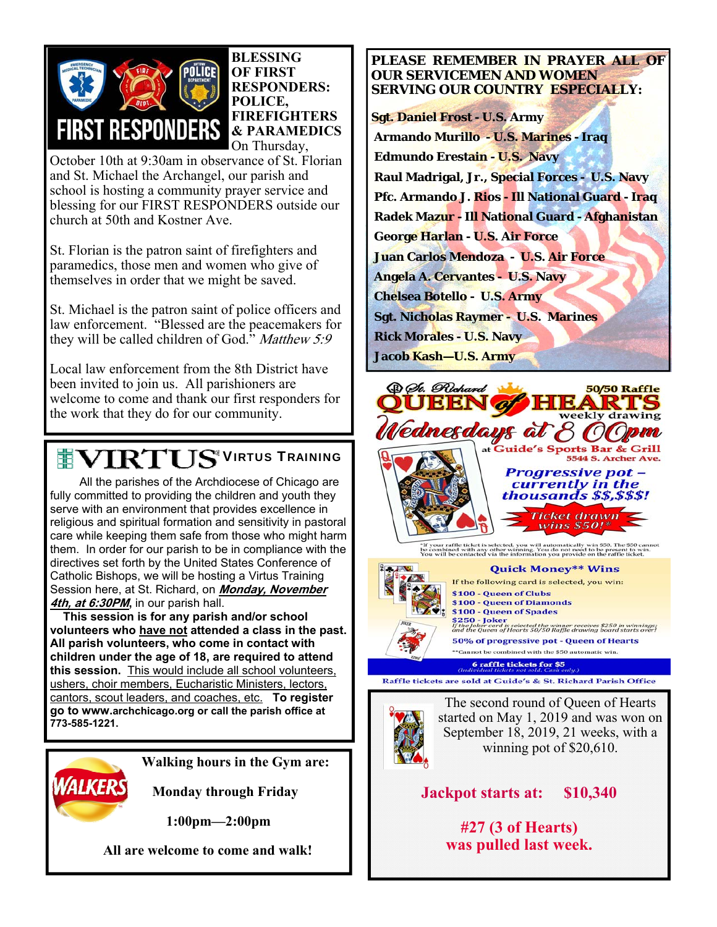

#### **BLESSING OF FIRST RESPONDERS: POLICE, FIREFIGHTERS & PARAMEDICS**  On Thursday,

October 10th at 9:30am in observance of St. Florian and St. Michael the Archangel, our parish and school is hosting a community prayer service and blessing for our FIRST RESPONDERS outside our church at 50th and Kostner Ave.

St. Florian is the patron saint of firefighters and paramedics, those men and women who give of themselves in order that we might be saved.

St. Michael is the patron saint of police officers and law enforcement. "Blessed are the peacemakers for they will be called children of God." Matthew 5:9

Local law enforcement from the 8th District have been invited to join us. All parishioners are welcome to come and thank our first responders for the work that they do for our community.

# **TEVIRTUS<sup>®</sup>VIRTUS TRAINING**

 All the parishes of the Archdiocese of Chicago are fully committed to providing the children and youth they serve with an environment that provides excellence in religious and spiritual formation and sensitivity in pastoral care while keeping them safe from those who might harm them. In order for our parish to be in compliance with the directives set forth by the United States Conference of Catholic Bishops, we will be hosting a Virtus Training Session here, at St. Richard, on **Monday, November 4th, at 6:30PM,** in our parish hall.

 **This session is for any parish and/or school volunteers who have not attended a class in the past. All parish volunteers, who come in contact with children under the age of 18, are required to attend this session.** This would include all school volunteers, ushers, choir members, Eucharistic Ministers, lectors, cantors, scout leaders, and coaches, etc. **To register go to www.archchicago.org or call the parish office at 773-585-1221.**



**Walking hours in the Gym are:**

 **Monday through Friday** 

**1:00pm—2:00pm** 

 **All are welcome to come and walk!**

#### **PLEASE REMEMBER IN PRAYER ALL OF OUR SERVICEMEN AND WOMEN SERVING OUR COUNTRY ESPECIALLY:**

**Sgt. Daniel Frost - U.S. Army Armando Murillo - U.S. Marines - Iraq Edmundo Erestain - U.S. Navy Raul Madrigal, Jr., Special Forces - U.S. Navy Pfc. Armando J. Rios - Ill National Guard - Iraq Radek Mazur - Ill National Guard - Afghanistan George Harlan - U.S. Air Force Juan Carlos Mendoza - U.S. Air Force Angela A. Cervantes - U.S. Navy Chelsea Botello - U.S. Army Sgt. Nicholas Raymer - U.S. Marines Rick Morales - U.S. Navy Jacob Kash—U.S. Army** 





**Quick Money\*\* Wins** If the following card is selected, you win: \$100 - Queen of Clubs \$100 - Queen of Diamonds \$100 - Queen of Spades \$250 - Joker<br>If the Joker card is selected the winner receives \$250 in winnings:<br>and the Queen of Hearts 50/50 Raffle drawing board starts over! 50% of progressive pot - Queen of Hearts

\*\*Cannot be combined with the \$50 automatic win. **6 raffle tickets for \$5**  $\overline{a}$ 

Raffle tickets are sold at Guide's & St. Richard Parish Office



The second round of Queen of Hearts started on May 1, 2019 and was won on September 18, 2019, 21 weeks, with a winning pot of \$20,610.

**Jackpot starts at: \$10,340** 

**#27 (3 of Hearts) was pulled last week.**